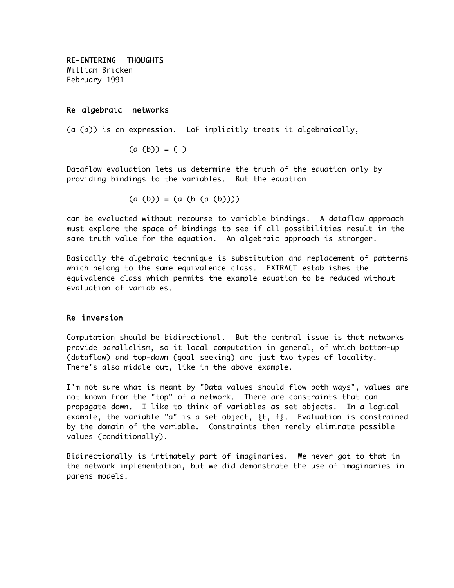RE-ENTERING THOUGHTS William Bricken February 1991

#### Re algebraic networks

(a (b)) is an expression. LoF implicitly treats it algebraically,

$$
(a (b)) = ( )
$$

Dataflow evaluation lets us determine the truth of the equation only by providing bindings to the variables. But the equation

 $(a (b)) = (a (b (a (b))))$ 

can be evaluated without recourse to variable bindings. A dataflow approach must explore the space of bindings to see if all possibilities result in the same truth value for the equation. An algebraic approach is stronger.

Basically the algebraic technique is substitution and replacement of patterns which belong to the same equivalence class. EXTRACT establishes the equivalence class which permits the example equation to be reduced without evaluation of variables.

#### Re inversion

Computation should be bidirectional. But the central issue is that networks provide parallelism, so it local computation in general, of which bottom-up (dataflow) and top-down (goal seeking) are just two types of locality. There's also middle out, like in the above example.

I'm not sure what is meant by "Data values should flow both ways", values are not known from the "top" of a network. There are constraints that can propagate down. I like to think of variables as set objects. In a logical example, the variable "a" is a set object, {t, f}. Evaluation is constrained by the domain of the variable. Constraints then merely eliminate possible values (conditionally).

Bidirectionally is intimately part of imaginaries. We never got to that in the network implementation, but we did demonstrate the use of imaginaries in parens models.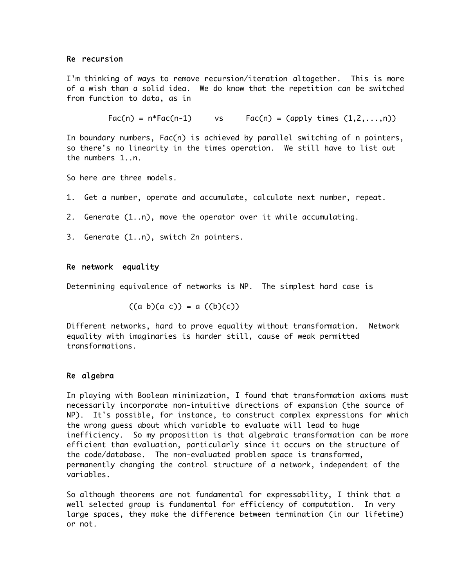### Re recursion

I'm thinking of ways to remove recursion/iteration altogether. This is more of a wish than a solid idea. We do know that the repetition can be switched from function to data, as in

 $Fac(n) = n*Fac(n-1)$  vs  $Fac(n) = (apply times (1,2,...,n))$ 

In boundary numbers, Fac(n) is achieved by parallel switching of n pointers, so there's no linearity in the times operation. We still have to list out the numbers 1..n.

So here are three models.

- 1. Get a number, operate and accumulate, calculate next number, repeat.
- 2. Generate (1..n), move the operator over it while accumulating.
- 3. Generate (1..n), switch 2n pointers.

# Re network equality

Determining equivalence of networks is NP. The simplest hard case is

 $((a \ b)(a \ c)) = a ((b)(c))$ 

Different networks, hard to prove equality without transformation. Network equality with imaginaries is harder still, cause of weak permitted transformations.

# Re algebra

In playing with Boolean minimization, I found that transformation axioms must necessarily incorporate non-intuitive directions of expansion (the source of NP). It's possible, for instance, to construct complex expressions for which the wrong guess about which variable to evaluate will lead to huge inefficiency. So my proposition is that algebraic transformation can be more efficient than evaluation, particularly since it occurs on the structure of the code/database. The non-evaluated problem space is transformed, permanently changing the control structure of a network, independent of the variables.

So although theorems are not fundamental for expressability, I think that a well selected group is fundamental for efficiency of computation. In very large spaces, they make the difference between termination (in our lifetime) or not.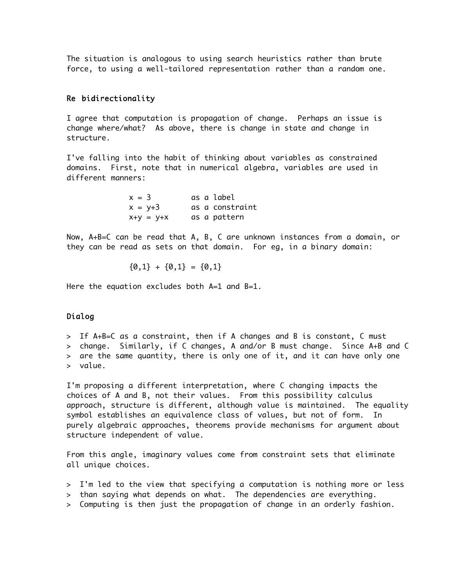The situation is analogous to using search heuristics rather than brute force, to using a well-tailored representation rather than a random one.

# Re bidirectionality

I agree that computation is propagation of change. Perhaps an issue is change where/what? As above, there is change in state and change in structure.

I've falling into the habit of thinking about variables as constrained domains. First, note that in numerical algebra, variables are used in different manners:

| $x = 3$     | as a label      |  |
|-------------|-----------------|--|
| $x = y + 3$ | as a constraint |  |
| $X+Y = Y+X$ | as a pattern    |  |

Now, A+B=C can be read that A, B, C are unknown instances from a domain, or they can be read as sets on that domain. For eg, in a binary domain:

$$
\{0,1\} + \{0,1\} = \{0,1\}
$$

Here the equation excludes both A=1 and B=1.

### Dialog

> If A+B=C as a constraint, then if A changes and B is constant, C must > change. Similarly, if C changes, A and/or B must change. Since A+B and C > are the same quantity, there is only one of it, and it can have only one > value.

I'm proposing a different interpretation, where C changing impacts the choices of A and B, not their values. From this possibility calculus approach, structure is different, although value is maintained. The equality symbol establishes an equivalence class of values, but not of form. In purely algebraic approaches, theorems provide mechanisms for argument about structure independent of value.

From this angle, imaginary values come from constraint sets that eliminate all unique choices.

- > I'm led to the view that specifying a computation is nothing more or less
- > than saying what depends on what. The dependencies are everything.
- > Computing is then just the propagation of change in an orderly fashion.